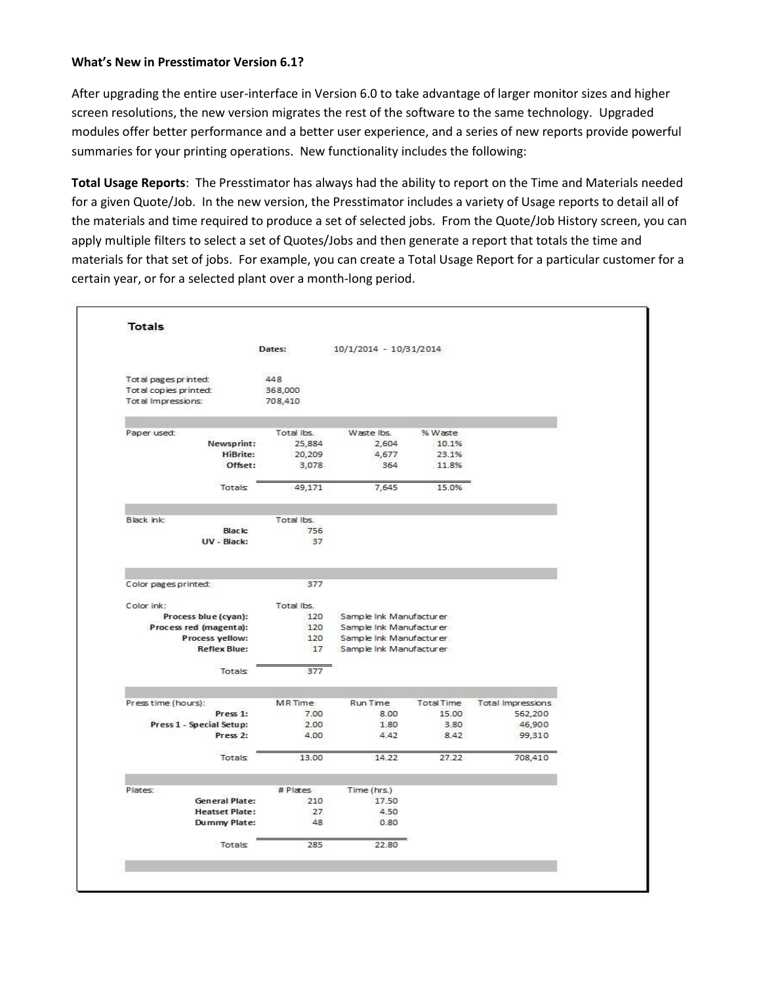## **What's New in Presstimator Version 6.1?**

After upgrading the entire user-interface in Version 6.0 to take advantage of larger monitor sizes and higher screen resolutions, the new version migrates the rest of the software to the same technology. Upgraded modules offer better performance and a better user experience, and a series of new reports provide powerful summaries for your printing operations. New functionality includes the following:

**Total Usage Reports**: The Presstimator has always had the ability to report on the Time and Materials needed for a given Quote/Job. In the new version, the Presstimator includes a variety of Usage reports to detail all of the materials and time required to produce a set of selected jobs. From the Quote/Job History screen, you can apply multiple filters to select a set of Quotes/Jobs and then generate a report that totals the time and materials for that set of jobs. For example, you can create a Total Usage Report for a particular customer for a certain year, or for a selected plant over a month-long period.

|                                                                      |                              | Dates:                    | 10/1/2014 - 10/31/2014  |                   |                                     |  |
|----------------------------------------------------------------------|------------------------------|---------------------------|-------------------------|-------------------|-------------------------------------|--|
| Tot al pages printed:<br>Total copies printed:<br>Total Impressions: |                              | 448<br>368,000<br>708,410 |                         |                   |                                     |  |
| Paper used:                                                          |                              | Total Ibs.                | Waste Ibs.              | % Waste           |                                     |  |
|                                                                      | Newsprint:                   | 25,884                    | 2,604                   | 10.1%             |                                     |  |
|                                                                      | <b>HiBrite:</b>              | 20,209                    | 4,677                   | 23.1%             |                                     |  |
|                                                                      | Offset:                      | 3,078                     | 364                     | 11.8%             |                                     |  |
|                                                                      | Totals                       | 49,171                    | 7,645                   | 15.0%             |                                     |  |
|                                                                      |                              |                           |                         |                   |                                     |  |
| Black ink:                                                           |                              | Total Ibs.                |                         |                   |                                     |  |
|                                                                      | <b>Black:</b><br>UV - Black: | 756<br>37                 |                         |                   |                                     |  |
| Color pages printed:                                                 |                              | 377                       |                         |                   |                                     |  |
| Color ink:                                                           |                              | Total Ibs.                |                         |                   |                                     |  |
|                                                                      | Process blue (cyan):         | 120                       | Sample Ink Manufacturer |                   |                                     |  |
|                                                                      | Process red (magenta):       | 120                       | Sample Ink Manufacturer |                   |                                     |  |
|                                                                      | Process yellow:              | 120                       | Sample Ink Manufacturer |                   |                                     |  |
|                                                                      | <b>Reflex Blue:</b>          | 17                        | Sample Ink Manufacturer |                   |                                     |  |
|                                                                      | Totals                       | 377                       |                         |                   |                                     |  |
|                                                                      |                              | MR Time                   | Run Time                | <b>Total Time</b> |                                     |  |
| Press time (hours):                                                  | Press 1:                     | 7.00                      | 8.00                    | 15.00             | <b>Total Impressions</b><br>562,200 |  |
|                                                                      | Press 1 - Special Setup:     | 2.00                      | 1.80                    | 3.80              | 46,900                              |  |
|                                                                      | Press <sub>2</sub> :         | 4.00                      | 4.42                    | 8.42              | 99,310                              |  |
|                                                                      | Totals                       | 13.00                     | 14.22                   | 27.22             | 708,410                             |  |
| Plates:                                                              |                              | # Plates                  | Time (hrs.)             |                   |                                     |  |
|                                                                      | <b>General Plate:</b>        | 210                       | 17.50                   |                   |                                     |  |
|                                                                      | <b>Heatset Plate:</b>        | 27                        | 4.50                    |                   |                                     |  |
|                                                                      | Dummy Plate:                 | 48                        | 0.80                    |                   |                                     |  |
|                                                                      | Totals                       | 285                       | 22.80                   |                   |                                     |  |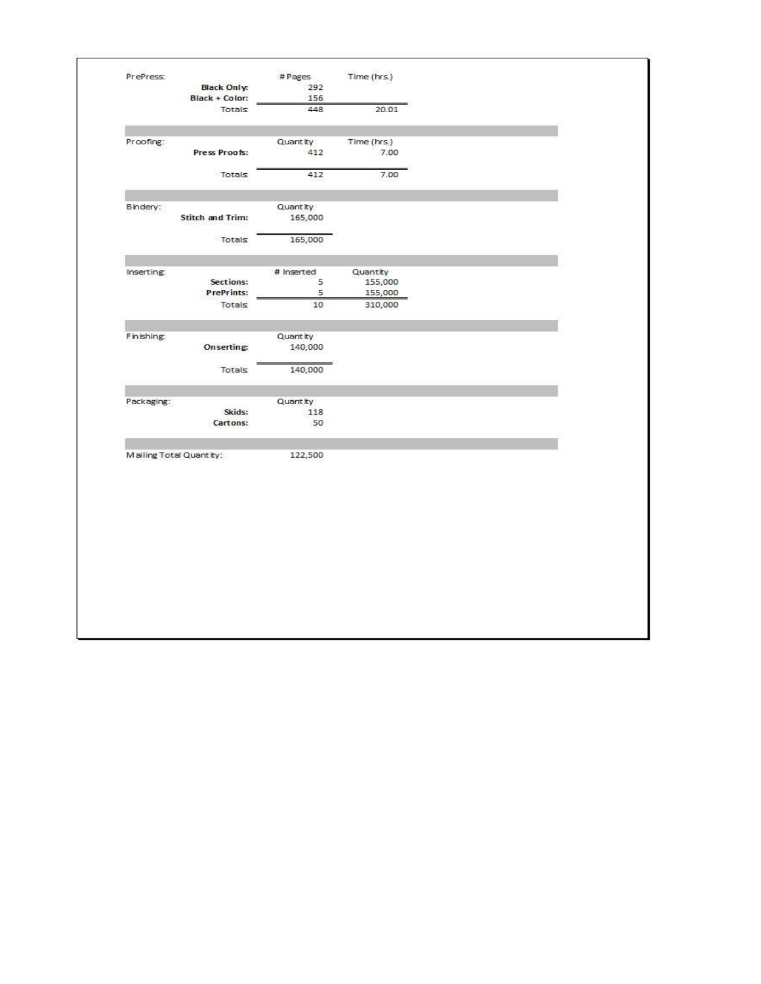| 448<br>20.01<br>Totals<br>Quant ity<br>Time (hrs.)<br>Press Proofs:<br>412<br>7.00<br>7.00<br>412<br>Totals<br>Quant ity<br><b>Stitch and Trim:</b><br>165,000<br>Totals<br>165,000<br># Inserted<br>Quantity<br>Sections:<br>5<br>155,000<br><b>PrePrints:</b><br>5<br>155,000<br>Totals<br>10<br>310,000<br>Quant ty<br>Onserting:<br>140,000<br>Totals<br>140,000<br>Quant ity<br>Skids:<br>118<br>Cartons:<br>50<br>122,500 | Proofing:<br>Bindery:                                             | Black Only:<br>Black + Color: | # Pages<br>292<br>156 | Time (hrs.) |  |
|---------------------------------------------------------------------------------------------------------------------------------------------------------------------------------------------------------------------------------------------------------------------------------------------------------------------------------------------------------------------------------------------------------------------------------|-------------------------------------------------------------------|-------------------------------|-----------------------|-------------|--|
|                                                                                                                                                                                                                                                                                                                                                                                                                                 |                                                                   |                               |                       |             |  |
|                                                                                                                                                                                                                                                                                                                                                                                                                                 |                                                                   |                               |                       |             |  |
|                                                                                                                                                                                                                                                                                                                                                                                                                                 |                                                                   |                               |                       |             |  |
|                                                                                                                                                                                                                                                                                                                                                                                                                                 |                                                                   |                               |                       |             |  |
|                                                                                                                                                                                                                                                                                                                                                                                                                                 |                                                                   |                               |                       |             |  |
|                                                                                                                                                                                                                                                                                                                                                                                                                                 |                                                                   |                               |                       |             |  |
|                                                                                                                                                                                                                                                                                                                                                                                                                                 | Inserting:<br>Finishing:<br>Packaging:<br>Mailing Total Quantity: |                               |                       |             |  |
|                                                                                                                                                                                                                                                                                                                                                                                                                                 |                                                                   |                               |                       |             |  |
|                                                                                                                                                                                                                                                                                                                                                                                                                                 |                                                                   |                               |                       |             |  |
|                                                                                                                                                                                                                                                                                                                                                                                                                                 |                                                                   |                               |                       |             |  |
|                                                                                                                                                                                                                                                                                                                                                                                                                                 |                                                                   |                               |                       |             |  |
|                                                                                                                                                                                                                                                                                                                                                                                                                                 |                                                                   |                               |                       |             |  |
|                                                                                                                                                                                                                                                                                                                                                                                                                                 |                                                                   |                               |                       |             |  |
|                                                                                                                                                                                                                                                                                                                                                                                                                                 |                                                                   |                               |                       |             |  |
|                                                                                                                                                                                                                                                                                                                                                                                                                                 |                                                                   |                               |                       |             |  |
|                                                                                                                                                                                                                                                                                                                                                                                                                                 |                                                                   |                               |                       |             |  |
|                                                                                                                                                                                                                                                                                                                                                                                                                                 |                                                                   |                               |                       |             |  |
|                                                                                                                                                                                                                                                                                                                                                                                                                                 |                                                                   |                               |                       |             |  |
|                                                                                                                                                                                                                                                                                                                                                                                                                                 |                                                                   |                               |                       |             |  |
|                                                                                                                                                                                                                                                                                                                                                                                                                                 |                                                                   |                               |                       |             |  |
|                                                                                                                                                                                                                                                                                                                                                                                                                                 |                                                                   |                               |                       |             |  |
|                                                                                                                                                                                                                                                                                                                                                                                                                                 |                                                                   |                               |                       |             |  |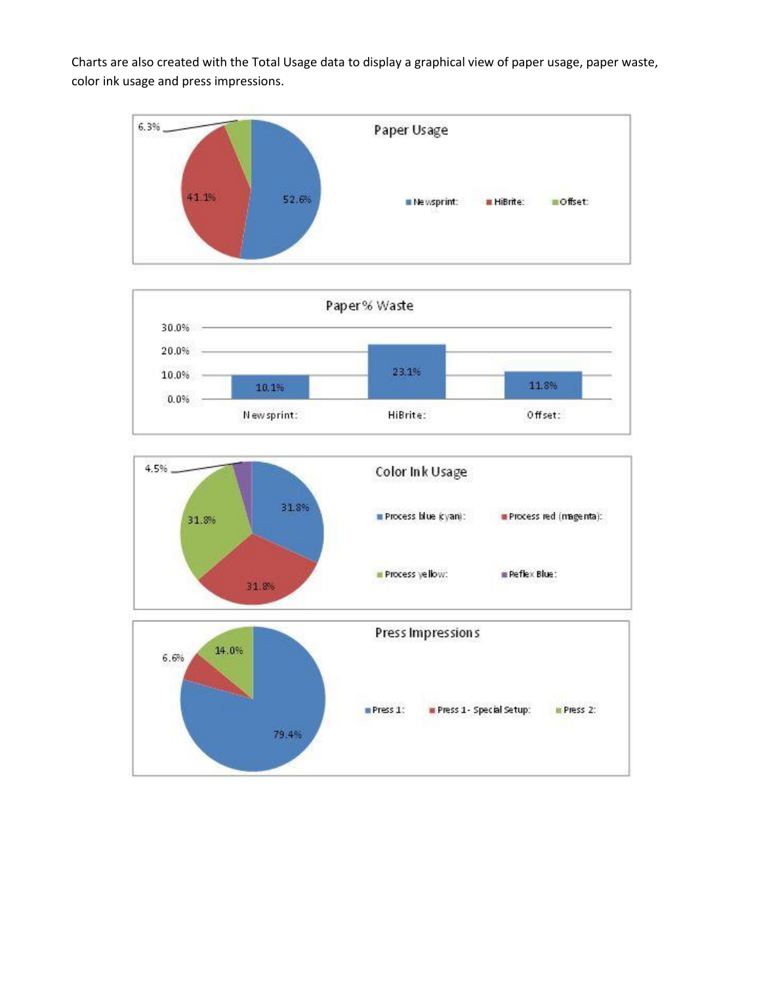Charts are also created with the Total Usage data to display a graphical view of paper usage, paper waste, color ink usage and press impressions.







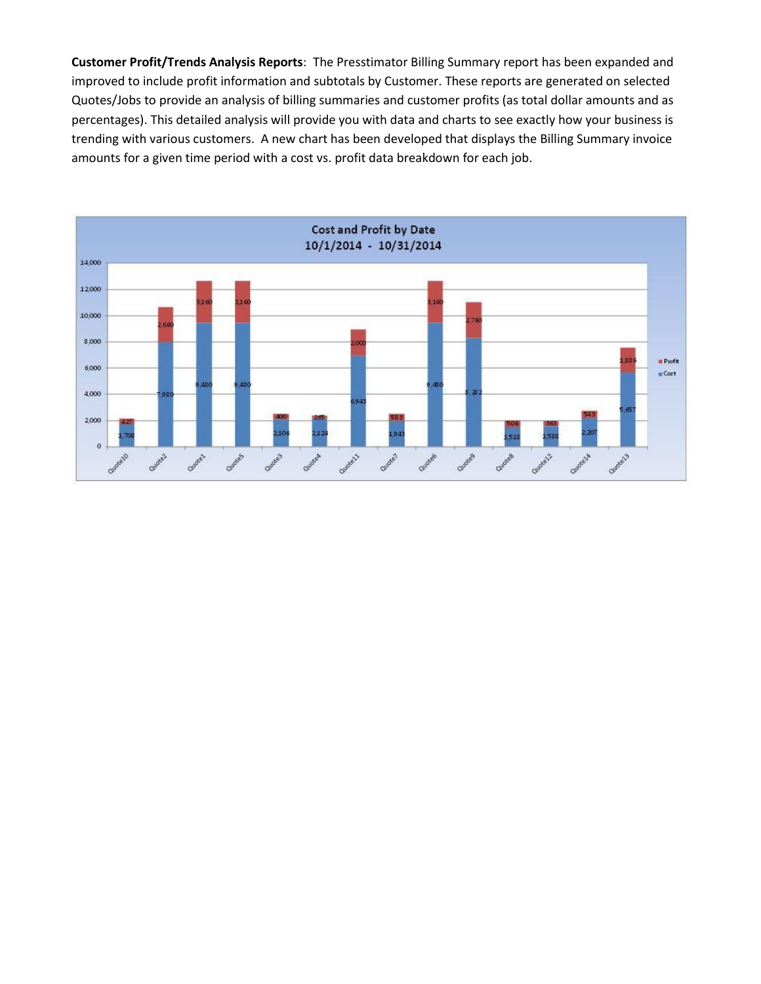**Customer Profit/Trends Analysis Reports**: The Presstimator Billing Summary report has been expanded and improved to include profit information and subtotals by Customer. These reports are generated on selected Quotes/Jobs to provide an analysis of billing summaries and customer profits (as total dollar amounts and as percentages). This detailed analysis will provide you with data and charts to see exactly how your business is trending with various customers. A new chart has been developed that displays the Billing Summary invoice amounts for a given time period with a cost vs. profit data breakdown for each job.

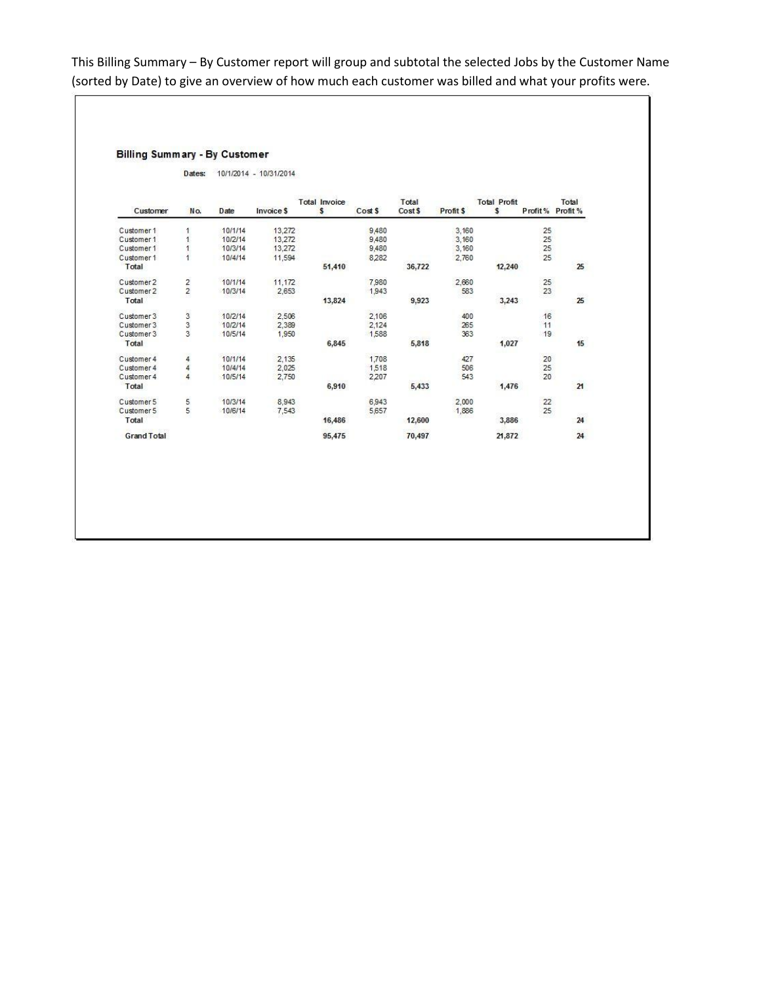This Billing Summary – By Customer report will group and subtotal the selected Jobs by the Customer Name (sorted by Date) to give an overview of how much each customer was billed and what your profits were.

## **Billing Summary - By Customer**

Dates: 10/1/2014 - 10/31/2014

|                    |               |              | <b>Total Invoice</b> |        | Total   |         | <b>Total Profit</b> |        | Total           |          |
|--------------------|---------------|--------------|----------------------|--------|---------|---------|---------------------|--------|-----------------|----------|
| Customer           | No.           | <b>D</b> ate | <b>Invoice \$</b>    | s      | Cost \$ | Cost \$ | Profit \$           | s      | Profit%         | Profit % |
| Customer 1         |               | 10/1/14      | 13,272               |        | 9,480   |         | 3,160               |        | 25              |          |
| Customer 1         |               | 10/2/14      | 13,272               |        | 9,480   |         | 3,160               |        | 25              |          |
| Customer 1         |               | 10/3/14      | 13,272               |        | 9,480   |         | 3,160               |        | 25              |          |
| Customer 1         |               | 10/4/14      | 11,594               |        | 8,282   |         | 2,760               |        | 25              |          |
| Total              |               |              |                      | 51,410 |         | 36,722  |                     | 12,240 |                 | 25       |
| Customer 2         | $\frac{2}{2}$ | 10/1/14      | 11.172               |        | 7,980   |         | 2,660               |        | $\frac{25}{23}$ |          |
| Customer 2         |               | 10/3/14      | 2,653                |        | 1,943   |         | 583                 |        |                 |          |
| Total              |               |              |                      | 13,824 |         | 9,923   | <b>COST</b>         | 3,243  |                 | 25       |
| Customer 3         | ပ္ပါတ         | 10/2/14      | 2,506                |        | 2,106   |         | 400                 |        | 16              |          |
| Customer 3         |               | 10/2/14      | 2,389                |        | 2,124   |         | 265                 |        | 11              |          |
| Customer 3         |               | 10/5/14      | 1,950                |        | 1,588   |         | 363                 |        | 19              |          |
| Total              |               |              |                      | 6,845  |         | 5,818   |                     | 1,027  |                 | 15       |
| Customer 4         | 4             | 10/1/14      | 2.135                |        | 1,708   |         | 427                 |        | 20              |          |
| Customer 4         | 4             | 10/4/14      | 2,025                |        | 1,518   |         | 506                 |        | 25              |          |
| Customer 4         | 4             | 10/5/14      | 2,750                |        | 2,207   |         | 543                 |        | 20              |          |
| Total              |               |              |                      | 6,910  |         | 5,433   |                     | 1,476  |                 | 21       |
| Customer 5         | 5             | 10/3/14      | 8,943                |        | 6.943   |         | 2.000               |        | 22              |          |
| Customer 5         | 5             | 10/6/14      | 7,543                |        | 5,657   |         | 1,886               |        | 25              |          |
| Total              |               |              |                      | 16,486 |         | 12,600  |                     | 3,886  |                 | 24       |
| <b>Grand Total</b> |               |              |                      | 95,475 |         | 70,497  |                     | 21,872 |                 | 24       |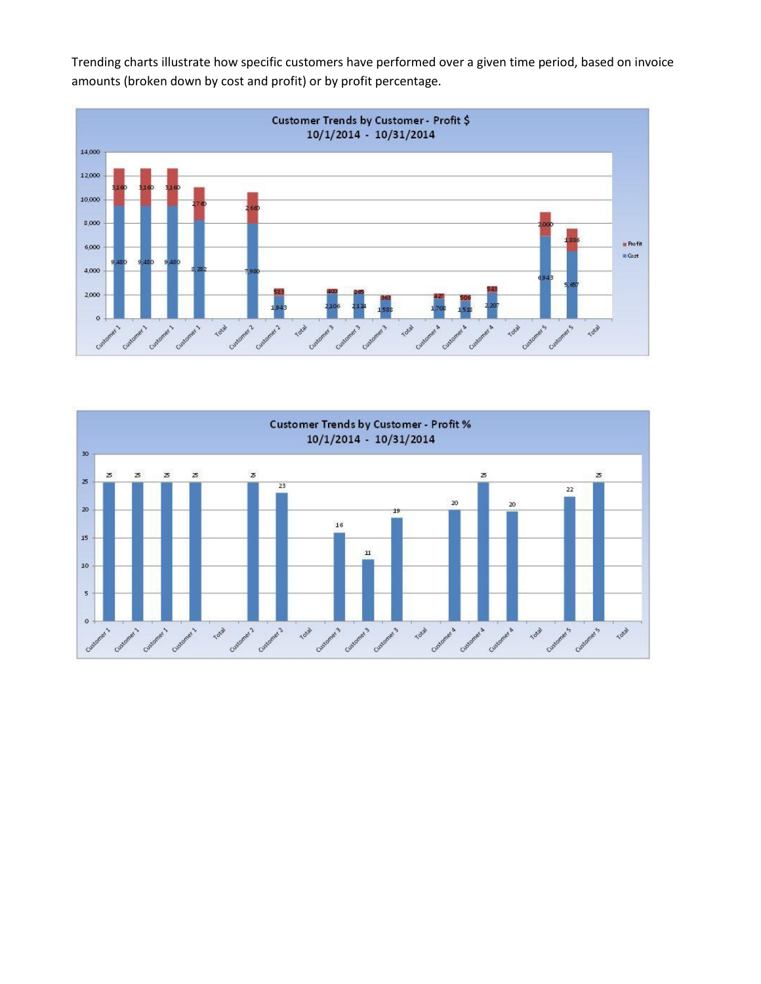

Trending charts illustrate how specific customers have performed over a given time period, based on invoice amounts (broken down by cost and profit) or by profit percentage.

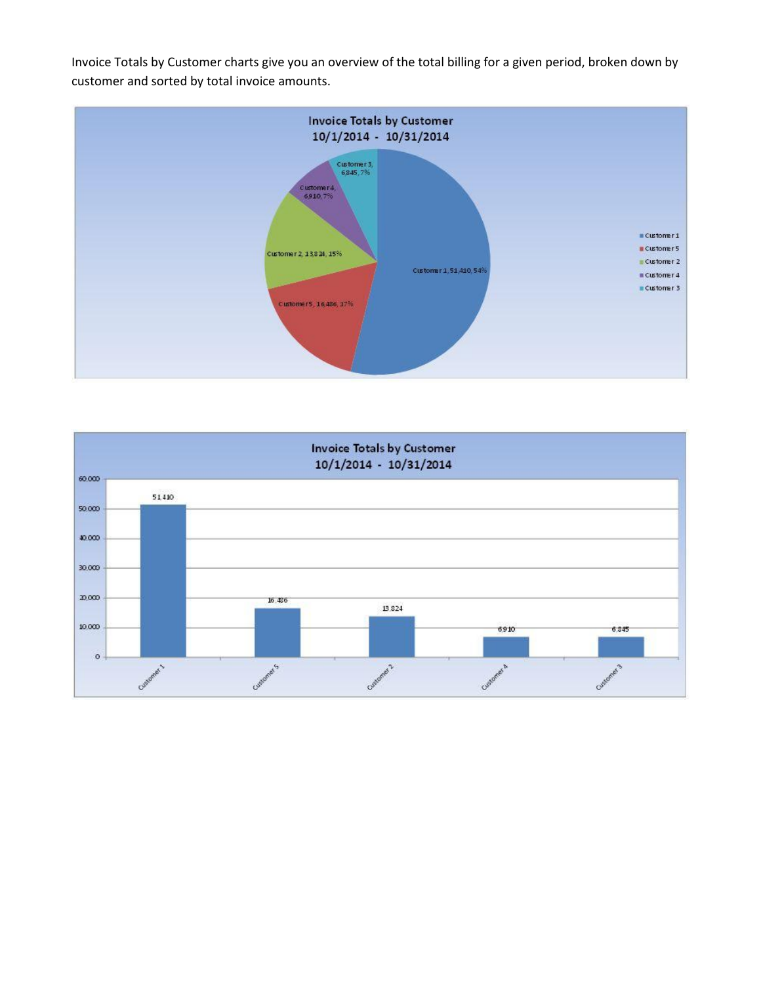Invoice Totals by Customer charts give you an overview of the total billing for a given period, broken down by customer and sorted by total invoice amounts.